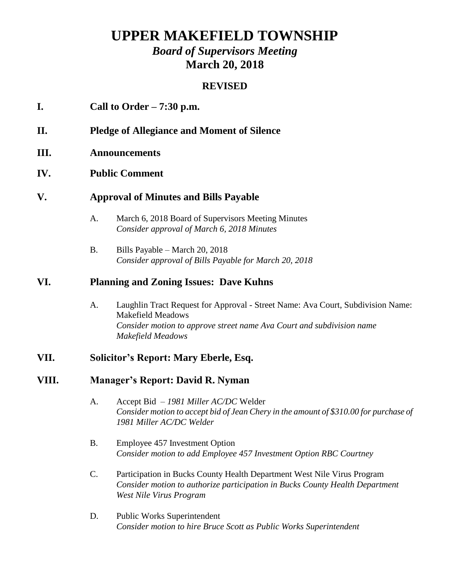# **UPPER MAKEFIELD TOWNSHIP**

# *Board of Supervisors Meeting* **March 20, 2018**

#### **REVISED**

#### **I. Call to Order – 7:30 p.m.**

- **II. Pledge of Allegiance and Moment of Silence**
- **III. Announcements**

#### **IV. Public Comment**

#### **V. Approval of Minutes and Bills Payable**

- A. March 6, 2018 Board of Supervisors Meeting Minutes *Consider approval of March 6, 2018 Minutes*
- B. Bills Payable March 20, 2018 *Consider approval of Bills Payable for March 20, 2018*

#### **VI. Planning and Zoning Issues: Dave Kuhns**

A. Laughlin Tract Request for Approval - Street Name: Ava Court, Subdivision Name: Makefield Meadows *Consider motion to approve street name Ava Court and subdivision name Makefield Meadows*

### **VII. Solicitor's Report: Mary Eberle, Esq.**

#### **VIII. Manager's Report: David R. Nyman**

- A. Accept Bid *1981 Miller AC/DC* Welder *Consider motion to accept bid of Jean Chery in the amount of \$310.00 for purchase of 1981 Miller AC/DC Welder*
- B. Employee 457 Investment Option *Consider motion to add Employee 457 Investment Option RBC Courtney*
- C. Participation in Bucks County Health Department West Nile Virus Program *Consider motion to authorize participation in Bucks County Health Department West Nile Virus Program*
- D. Public Works Superintendent *Consider motion to hire Bruce Scott as Public Works Superintendent*